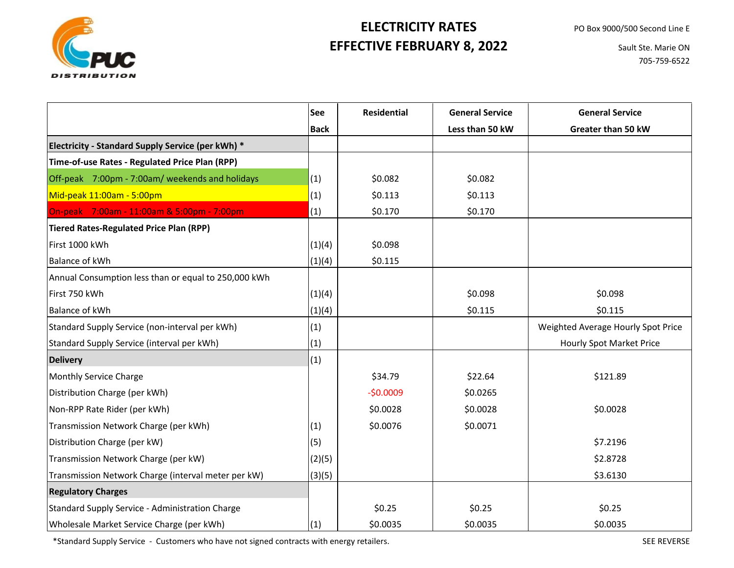

## **EFFECTIVE FEBRUARY 8, 2022 ELECTRICITY RATES**

 Sault Ste. Marie ON 705-759-6522

|                                                      | See         | <b>Residential</b> | <b>General Service</b> | <b>General Service</b>             |
|------------------------------------------------------|-------------|--------------------|------------------------|------------------------------------|
|                                                      | <b>Back</b> |                    | Less than 50 kW        | Greater than 50 kW                 |
| Electricity - Standard Supply Service (per kWh) *    |             |                    |                        |                                    |
| Time-of-use Rates - Regulated Price Plan (RPP)       |             |                    |                        |                                    |
| Off-peak 7:00pm - 7:00am/ weekends and holidays      | (1)         | \$0.082            | \$0.082                |                                    |
| Mid-peak 11:00am - 5:00pm                            | (1)         | \$0.113            | \$0.113                |                                    |
| On-peak 7:00am - 11:00am & 5:00pm - 7:00pm           | (1)         | \$0.170            | \$0.170                |                                    |
| <b>Tiered Rates-Regulated Price Plan (RPP)</b>       |             |                    |                        |                                    |
| First 1000 kWh                                       | (1)(4)      | \$0.098            |                        |                                    |
| <b>Balance of kWh</b>                                | (1)(4)      | \$0.115            |                        |                                    |
| Annual Consumption less than or equal to 250,000 kWh |             |                    |                        |                                    |
| First 750 kWh                                        | (1)(4)      |                    | \$0.098                | \$0.098                            |
| <b>Balance of kWh</b>                                | (1)(4)      |                    | \$0.115                | \$0.115                            |
| Standard Supply Service (non-interval per kWh)       | (1)         |                    |                        | Weighted Average Hourly Spot Price |
| Standard Supply Service (interval per kWh)           | (1)         |                    |                        | Hourly Spot Market Price           |
| <b>Delivery</b>                                      | (1)         |                    |                        |                                    |
| Monthly Service Charge                               |             | \$34.79            | \$22.64                | \$121.89                           |
| Distribution Charge (per kWh)                        |             | $-50.0009$         | \$0.0265               |                                    |
| Non-RPP Rate Rider (per kWh)                         |             | \$0.0028           | \$0.0028               | \$0.0028                           |
| Transmission Network Charge (per kWh)                | (1)         | \$0.0076           | \$0.0071               |                                    |
| Distribution Charge (per kW)                         | (5)         |                    |                        | \$7.2196                           |
| Transmission Network Charge (per kW)                 | (2)(5)      |                    |                        | \$2.8728                           |
| Transmission Network Charge (interval meter per kW)  | (3)(5)      |                    |                        | \$3.6130                           |
| <b>Regulatory Charges</b>                            |             |                    |                        |                                    |
| Standard Supply Service - Administration Charge      |             | \$0.25             | \$0.25                 | \$0.25                             |
| Wholesale Market Service Charge (per kWh)            | (1)         | \$0.0035           | \$0.0035               | \$0.0035                           |

\*Standard Supply Service - Customers who have not signed contracts with energy retailers. SEE REVERSE SEE REVERSE